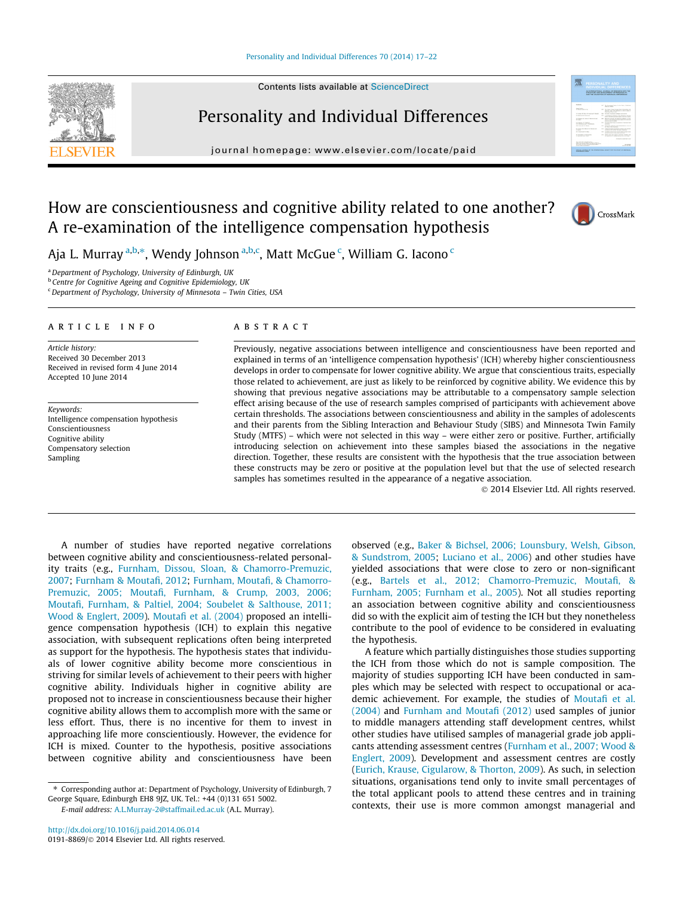### [Personality and Individual Differences 70 \(2014\) 17–22](http://dx.doi.org/10.1016/j.paid.2014.06.014)

Contents lists available at [ScienceDirect](http://www.sciencedirect.com/science/journal/01918869)



# Personality and Individual Differences

journal homepage: [www.elsevier.com/locate/paid](http://www.elsevier.com/locate/paid)



# How are conscientiousness and cognitive ability related to one another? A re-examination of the intelligence compensation hypothesis



Aja L. Murray <sup>a,b,</sup>\*, Wendy Johnson <sup>a,b,c</sup>, Matt McGue <sup>c</sup>, William G. Iacono <sup>c</sup>

a Department of Psychology, University of Edinburgh, UK

**b** Centre for Cognitive Ageing and Cognitive Epidemiology, UK

 $c$  Department of Psychology, University of Minnesota - Twin Cities, USA

#### article info

Article history: Received 30 December 2013 Received in revised form 4 June 2014 Accepted 10 June 2014

Keywords: Intelligence compensation hypothesis Conscientiousness Cognitive ability Compensatory selection Sampling

# A B S T R A C T

Previously, negative associations between intelligence and conscientiousness have been reported and explained in terms of an 'intelligence compensation hypothesis' (ICH) whereby higher conscientiousness develops in order to compensate for lower cognitive ability. We argue that conscientious traits, especially those related to achievement, are just as likely to be reinforced by cognitive ability. We evidence this by showing that previous negative associations may be attributable to a compensatory sample selection effect arising because of the use of research samples comprised of participants with achievement above certain thresholds. The associations between conscientiousness and ability in the samples of adolescents and their parents from the Sibling Interaction and Behaviour Study (SIBS) and Minnesota Twin Family Study (MTFS) – which were not selected in this way – were either zero or positive. Further, artificially introducing selection on achievement into these samples biased the associations in the negative direction. Together, these results are consistent with the hypothesis that the true association between these constructs may be zero or positive at the population level but that the use of selected research samples has sometimes resulted in the appearance of a negative association.

- 2014 Elsevier Ltd. All rights reserved.

A number of studies have reported negative correlations between cognitive ability and conscientiousness-related personality traits (e.g., [Furnham, Dissou, Sloan, & Chamorro-Premuzic,](#page-5-0) [2007](#page-5-0); [Furnham & Moutafi, 2012;](#page-5-0) [Furnham, Moutafi, & Chamorro-](#page-5-0)[Premuzic, 2005; Moutafi, Furnham, & Crump, 2003, 2006;](#page-5-0) [Moutafi, Furnham, & Paltiel, 2004; Soubelet & Salthouse, 2011;](#page-5-0) [Wood & Englert, 2009\)](#page-5-0). [Moutafi et al. \(2004\)](#page-5-0) proposed an intelligence compensation hypothesis (ICH) to explain this negative association, with subsequent replications often being interpreted as support for the hypothesis. The hypothesis states that individuals of lower cognitive ability become more conscientious in striving for similar levels of achievement to their peers with higher cognitive ability. Individuals higher in cognitive ability are proposed not to increase in conscientiousness because their higher cognitive ability allows them to accomplish more with the same or less effort. Thus, there is no incentive for them to invest in approaching life more conscientiously. However, the evidence for ICH is mixed. Counter to the hypothesis, positive associations between cognitive ability and conscientiousness have been

observed (e.g., [Baker & Bichsel, 2006; Lounsbury, Welsh, Gibson,](#page-5-0) [& Sundstrom, 2005;](#page-5-0) [Luciano et al., 2006\)](#page-5-0) and other studies have yielded associations that were close to zero or non-significant (e.g., [Bartels et al., 2012; Chamorro-Premuzic, Moutafi, &](#page-5-0) [Furnham, 2005; Furnham et al., 2005](#page-5-0)). Not all studies reporting an association between cognitive ability and conscientiousness did so with the explicit aim of testing the ICH but they nonetheless contribute to the pool of evidence to be considered in evaluating the hypothesis.

A feature which partially distinguishes those studies supporting the ICH from those which do not is sample composition. The majority of studies supporting ICH have been conducted in samples which may be selected with respect to occupational or academic achievement. For example, the studies of [Moutafi et al.](#page-5-0) [\(2004\)](#page-5-0) and [Furnham and Moutafi \(2012\)](#page-5-0) used samples of junior to middle managers attending staff development centres, whilst other studies have utilised samples of managerial grade job applicants attending assessment centres ([Furnham et al., 2007; Wood &](#page-5-0) [Englert, 2009\)](#page-5-0). Development and assessment centres are costly ([Eurich, Krause, Cigularow, & Thorton, 2009\)](#page-5-0). As such, in selection situations, organisations tend only to invite small percentages of the total applicant pools to attend these centres and in training contexts, their use is more common amongst managerial and

<sup>⇑</sup> Corresponding author at: Department of Psychology, University of Edinburgh, 7 George Square, Edinburgh EH8 9JZ, UK. Tel.: +44 (0)131 651 5002.

E-mail address: [A.L.Murray-2@staffmail.ed.ac.uk](mailto:A.L.Murray-2@staffmail.ed.ac.uk) (A.L. Murray).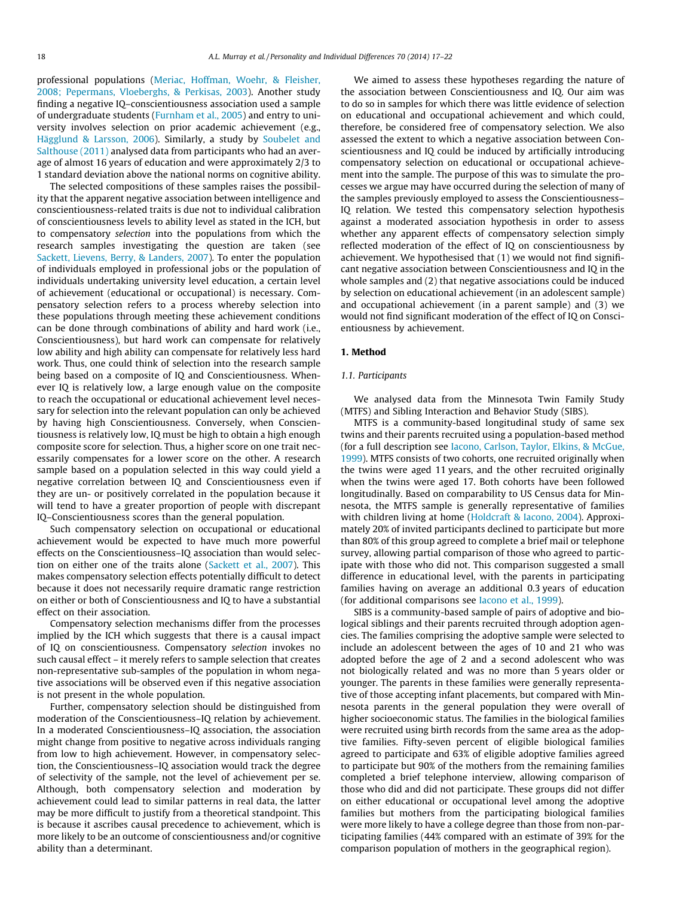professional populations [\(Meriac, Hoffman, Woehr, & Fleisher,](#page-5-0) [2008; Pepermans, Vloeberghs, & Perkisas, 2003](#page-5-0)). Another study finding a negative IQ–conscientiousness association used a sample of undergraduate students ([Furnham et al., 2005\)](#page-5-0) and entry to university involves selection on prior academic achievement (e.g., [Hägglund & Larsson, 2006\)](#page-5-0). Similarly, a study by [Soubelet and](#page-5-0) [Salthouse \(2011\)](#page-5-0) analysed data from participants who had an average of almost 16 years of education and were approximately 2/3 to 1 standard deviation above the national norms on cognitive ability.

The selected compositions of these samples raises the possibility that the apparent negative association between intelligence and conscientiousness-related traits is due not to individual calibration of conscientiousness levels to ability level as stated in the ICH, but to compensatory selection into the populations from which the research samples investigating the question are taken (see [Sackett, Lievens, Berry, & Landers, 2007\)](#page-5-0). To enter the population of individuals employed in professional jobs or the population of individuals undertaking university level education, a certain level of achievement (educational or occupational) is necessary. Compensatory selection refers to a process whereby selection into these populations through meeting these achievement conditions can be done through combinations of ability and hard work (i.e., Conscientiousness), but hard work can compensate for relatively low ability and high ability can compensate for relatively less hard work. Thus, one could think of selection into the research sample being based on a composite of IQ and Conscientiousness. Whenever IQ is relatively low, a large enough value on the composite to reach the occupational or educational achievement level necessary for selection into the relevant population can only be achieved by having high Conscientiousness. Conversely, when Conscientiousness is relatively low, IQ must be high to obtain a high enough composite score for selection. Thus, a higher score on one trait necessarily compensates for a lower score on the other. A research sample based on a population selected in this way could yield a negative correlation between IQ and Conscientiousness even if they are un- or positively correlated in the population because it will tend to have a greater proportion of people with discrepant IQ–Conscientiousness scores than the general population.

Such compensatory selection on occupational or educational achievement would be expected to have much more powerful effects on the Conscientiousness–IQ association than would selection on either one of the traits alone ([Sackett et al., 2007\)](#page-5-0). This makes compensatory selection effects potentially difficult to detect because it does not necessarily require dramatic range restriction on either or both of Conscientiousness and IQ to have a substantial effect on their association.

Compensatory selection mechanisms differ from the processes implied by the ICH which suggests that there is a causal impact of IQ on conscientiousness. Compensatory selection invokes no such causal effect – it merely refers to sample selection that creates non-representative sub-samples of the population in whom negative associations will be observed even if this negative association is not present in the whole population.

Further, compensatory selection should be distinguished from moderation of the Conscientiousness–IQ relation by achievement. In a moderated Conscientiousness–IQ association, the association might change from positive to negative across individuals ranging from low to high achievement. However, in compensatory selection, the Conscientiousness–IQ association would track the degree of selectivity of the sample, not the level of achievement per se. Although, both compensatory selection and moderation by achievement could lead to similar patterns in real data, the latter may be more difficult to justify from a theoretical standpoint. This is because it ascribes causal precedence to achievement, which is more likely to be an outcome of conscientiousness and/or cognitive ability than a determinant.

We aimed to assess these hypotheses regarding the nature of the association between Conscientiousness and IQ. Our aim was to do so in samples for which there was little evidence of selection on educational and occupational achievement and which could, therefore, be considered free of compensatory selection. We also assessed the extent to which a negative association between Conscientiousness and IQ could be induced by artificially introducing compensatory selection on educational or occupational achievement into the sample. The purpose of this was to simulate the processes we argue may have occurred during the selection of many of the samples previously employed to assess the Conscientiousness– IQ relation. We tested this compensatory selection hypothesis against a moderated association hypothesis in order to assess whether any apparent effects of compensatory selection simply reflected moderation of the effect of IQ on conscientiousness by achievement. We hypothesised that (1) we would not find significant negative association between Conscientiousness and IQ in the whole samples and (2) that negative associations could be induced by selection on educational achievement (in an adolescent sample) and occupational achievement (in a parent sample) and (3) we would not find significant moderation of the effect of IQ on Conscientiousness by achievement.

# 1. Method

#### 1.1. Participants

We analysed data from the Minnesota Twin Family Study (MTFS) and Sibling Interaction and Behavior Study (SIBS).

MTFS is a community-based longitudinal study of same sex twins and their parents recruited using a population-based method (for a full description see [Iacono, Carlson, Taylor, Elkins, & McGue,](#page-5-0) [1999\)](#page-5-0). MTFS consists of two cohorts, one recruited originally when the twins were aged 11 years, and the other recruited originally when the twins were aged 17. Both cohorts have been followed longitudinally. Based on comparability to US Census data for Minnesota, the MTFS sample is generally representative of families with children living at home ([Holdcraft & Iacono, 2004\)](#page-5-0). Approximately 20% of invited participants declined to participate but more than 80% of this group agreed to complete a brief mail or telephone survey, allowing partial comparison of those who agreed to participate with those who did not. This comparison suggested a small difference in educational level, with the parents in participating families having on average an additional 0.3 years of education (for additional comparisons see [Iacono et al., 1999\)](#page-5-0).

SIBS is a community-based sample of pairs of adoptive and biological siblings and their parents recruited through adoption agencies. The families comprising the adoptive sample were selected to include an adolescent between the ages of 10 and 21 who was adopted before the age of 2 and a second adolescent who was not biologically related and was no more than 5 years older or younger. The parents in these families were generally representative of those accepting infant placements, but compared with Minnesota parents in the general population they were overall of higher socioeconomic status. The families in the biological families were recruited using birth records from the same area as the adoptive families. Fifty-seven percent of eligible biological families agreed to participate and 63% of eligible adoptive families agreed to participate but 90% of the mothers from the remaining families completed a brief telephone interview, allowing comparison of those who did and did not participate. These groups did not differ on either educational or occupational level among the adoptive families but mothers from the participating biological families were more likely to have a college degree than those from non-participating families (44% compared with an estimate of 39% for the comparison population of mothers in the geographical region).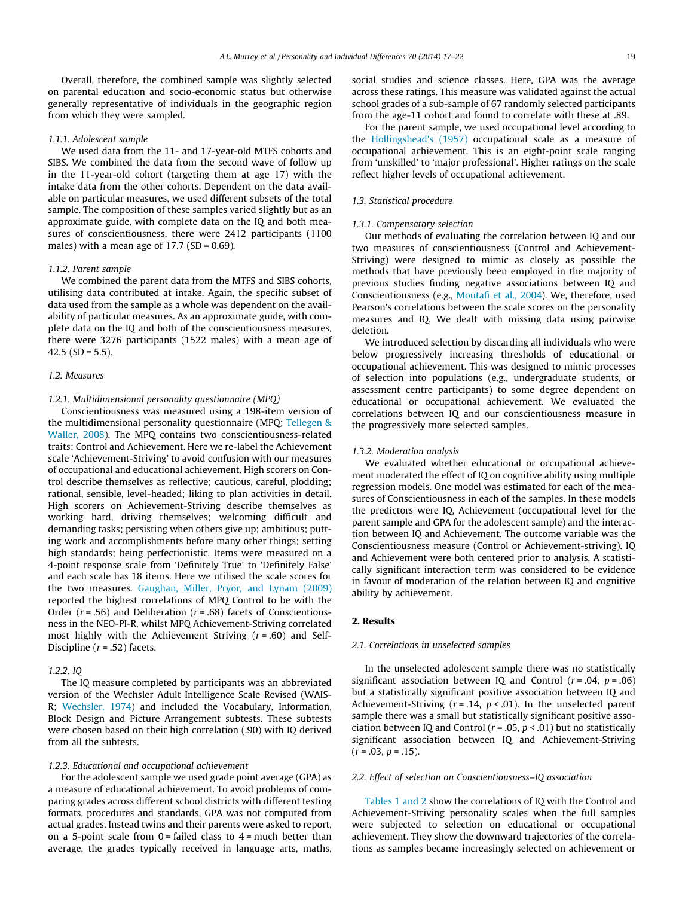Overall, therefore, the combined sample was slightly selected on parental education and socio-economic status but otherwise generally representative of individuals in the geographic region from which they were sampled.

#### 1.1.1. Adolescent sample

We used data from the 11- and 17-year-old MTFS cohorts and SIBS. We combined the data from the second wave of follow up in the 11-year-old cohort (targeting them at age 17) with the intake data from the other cohorts. Dependent on the data available on particular measures, we used different subsets of the total sample. The composition of these samples varied slightly but as an approximate guide, with complete data on the IQ and both measures of conscientiousness, there were 2412 participants (1100 males) with a mean age of  $17.7$  (SD = 0.69).

#### 1.1.2. Parent sample

We combined the parent data from the MTFS and SIBS cohorts, utilising data contributed at intake. Again, the specific subset of data used from the sample as a whole was dependent on the availability of particular measures. As an approximate guide, with complete data on the IQ and both of the conscientiousness measures, there were 3276 participants (1522 males) with a mean age of 42.5 (SD =  $5.5$ ).

#### 1.2. Measures

#### 1.2.1. Multidimensional personality questionnaire (MPQ)

Conscientiousness was measured using a 198-item version of the multidimensional personality questionnaire (MPQ; [Tellegen &](#page-5-0) [Waller, 2008\)](#page-5-0). The MPQ contains two conscientiousness-related traits: Control and Achievement. Here we re-label the Achievement scale 'Achievement-Striving' to avoid confusion with our measures of occupational and educational achievement. High scorers on Control describe themselves as reflective; cautious, careful, plodding; rational, sensible, level-headed; liking to plan activities in detail. High scorers on Achievement-Striving describe themselves as working hard, driving themselves; welcoming difficult and demanding tasks; persisting when others give up; ambitious; putting work and accomplishments before many other things; setting high standards; being perfectionistic. Items were measured on a 4-point response scale from 'Definitely True' to 'Definitely False' and each scale has 18 items. Here we utilised the scale scores for the two measures. [Gaughan, Miller, Pryor, and Lynam \(2009\)](#page-5-0) reported the highest correlations of MPQ Control to be with the Order ( $r = .56$ ) and Deliberation ( $r = .68$ ) facets of Conscientiousness in the NEO-PI-R, whilst MPQ Achievement-Striving correlated most highly with the Achievement Striving  $(r = .60)$  and Self-Discipline  $(r = .52)$  facets.

#### 1.2.2. IQ

The IQ measure completed by participants was an abbreviated version of the Wechsler Adult Intelligence Scale Revised (WAIS-R; [Wechsler, 1974](#page-5-0)) and included the Vocabulary, Information, Block Design and Picture Arrangement subtests. These subtests were chosen based on their high correlation (.90) with IQ derived from all the subtests.

### 1.2.3. Educational and occupational achievement

For the adolescent sample we used grade point average (GPA) as a measure of educational achievement. To avoid problems of comparing grades across different school districts with different testing formats, procedures and standards, GPA was not computed from actual grades. Instead twins and their parents were asked to report, on a 5-point scale from  $0 =$  failed class to  $4 =$  much better than average, the grades typically received in language arts, maths,

social studies and science classes. Here, GPA was the average across these ratings. This measure was validated against the actual school grades of a sub-sample of 67 randomly selected participants from the age-11 cohort and found to correlate with these at .89.

For the parent sample, we used occupational level according to the [Hollingshead's \(1957\)](#page-5-0) occupational scale as a measure of occupational achievement. This is an eight-point scale ranging from 'unskilled' to 'major professional'. Higher ratings on the scale reflect higher levels of occupational achievement.

#### 1.3. Statistical procedure

#### 1.3.1. Compensatory selection

Our methods of evaluating the correlation between IQ and our two measures of conscientiousness (Control and Achievement-Striving) were designed to mimic as closely as possible the methods that have previously been employed in the majority of previous studies finding negative associations between IQ and Conscientiousness (e.g., [Moutafi et al., 2004\)](#page-5-0). We, therefore, used Pearson's correlations between the scale scores on the personality measures and IQ. We dealt with missing data using pairwise deletion.

We introduced selection by discarding all individuals who were below progressively increasing thresholds of educational or occupational achievement. This was designed to mimic processes of selection into populations (e.g., undergraduate students, or assessment centre participants) to some degree dependent on educational or occupational achievement. We evaluated the correlations between IQ and our conscientiousness measure in the progressively more selected samples.

#### 1.3.2. Moderation analysis

We evaluated whether educational or occupational achievement moderated the effect of IQ on cognitive ability using multiple regression models. One model was estimated for each of the measures of Conscientiousness in each of the samples. In these models the predictors were IQ, Achievement (occupational level for the parent sample and GPA for the adolescent sample) and the interaction between IQ and Achievement. The outcome variable was the Conscientiousness measure (Control or Achievement-striving). IQ and Achievement were both centered prior to analysis. A statistically significant interaction term was considered to be evidence in favour of moderation of the relation between IQ and cognitive ability by achievement.

#### 2. Results

#### 2.1. Correlations in unselected samples

In the unselected adolescent sample there was no statistically significant association between IQ and Control  $(r = .04, p = .06)$ but a statistically significant positive association between IQ and Achievement-Striving ( $r = .14$ ,  $p < .01$ ). In the unselected parent sample there was a small but statistically significant positive association between IQ and Control ( $r = .05$ ,  $p < .01$ ) but no statistically significant association between IQ and Achievement-Striving  $(r = .03, p = .15).$ 

#### 2.2. Effect of selection on Conscientiousness–IQ association

[Tables 1 and 2](#page-3-0) show the correlations of IQ with the Control and Achievement-Striving personality scales when the full samples were subjected to selection on educational or occupational achievement. They show the downward trajectories of the correlations as samples became increasingly selected on achievement or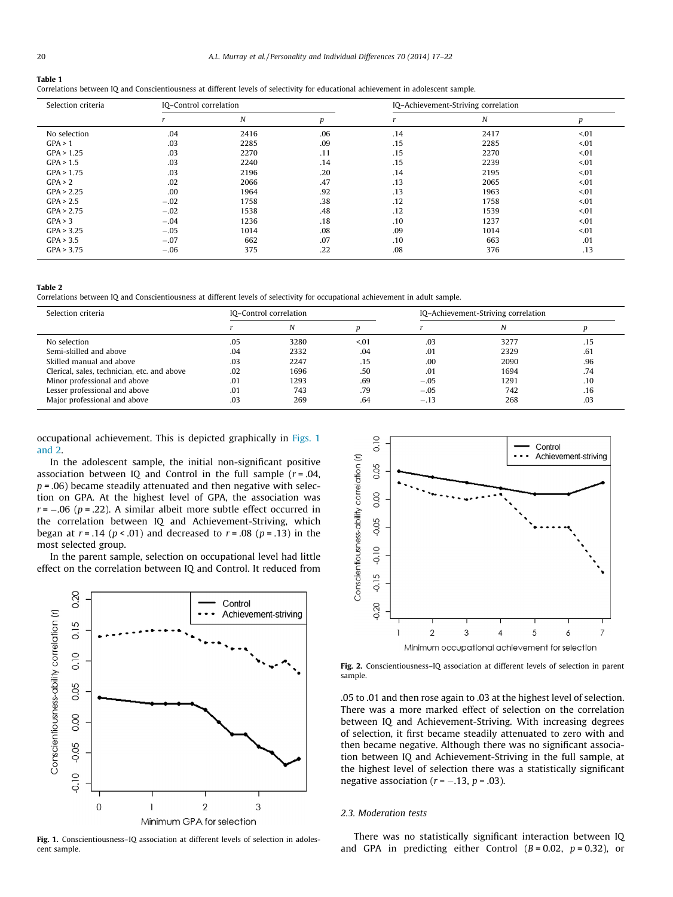#### <span id="page-3-0"></span>Table 1

Correlations between IQ and Conscientiousness at different levels of selectivity for educational achievement in adolescent sample.

| Selection criteria | IQ-Control correlation |      |     | IQ-Achievement-Striving correlation |      |        |  |
|--------------------|------------------------|------|-----|-------------------------------------|------|--------|--|
|                    |                        | N    | p   |                                     | N    | p      |  |
| No selection       | .04                    | 2416 | .06 | .14                                 | 2417 | < 01   |  |
| GPA > 1            | .03                    | 2285 | .09 | .15                                 | 2285 | < 01   |  |
| GPA > 1.25         | .03                    | 2270 | .11 | .15                                 | 2270 | < 0.01 |  |
| GPA > 1.5          | .03                    | 2240 | .14 | .15                                 | 2239 | < 01   |  |
| GPA > 1.75         | .03                    | 2196 | .20 | .14                                 | 2195 | < 01   |  |
| GPA > 2            | .02                    | 2066 | .47 | .13                                 | 2065 | < 01   |  |
| GPA > 2.25         | .00                    | 1964 | .92 | .13                                 | 1963 | 501    |  |
| GPA > 2.5          | $-.02$                 | 1758 | .38 | .12                                 | 1758 | < 0.01 |  |
| GPA > 2.75         | $-.02$                 | 1538 | .48 | .12                                 | 1539 | < 01   |  |
| GPA > 3            | $-.04$                 | 1236 | .18 | .10                                 | 1237 | 501    |  |
| GPA > 3.25         | $-.05$                 | 1014 | .08 | .09                                 | 1014 | < 0.01 |  |
| GPA > 3.5          | $-.07$                 | 662  | .07 | .10                                 | 663  | .01    |  |
| GPA > 3.75         | $-.06$                 | 375  | .22 | .08                                 | 376  | .13    |  |

#### Table 2

Correlations between IQ and Conscientiousness at different levels of selectivity for occupational achievement in adult sample.

| Selection criteria                          | IQ-Control correlation |      |      | IQ-Achievement-Striving correlation |      |     |
|---------------------------------------------|------------------------|------|------|-------------------------------------|------|-----|
|                                             |                        | N    |      |                                     |      |     |
| No selection                                | .05                    | 3280 | 5.01 | .03                                 | 3277 | .15 |
| Semi-skilled and above                      | .04                    | 2332 | .04  | .01                                 | 2329 | .61 |
| Skilled manual and above                    | .03                    | 2247 | .15  | .00                                 | 2090 | .96 |
| Clerical, sales, technician, etc. and above | .02                    | 1696 | .50  | .01                                 | 1694 | .74 |
| Minor professional and above                | .01                    | 1293 | .69  | $-.05$                              | 1291 | .10 |
| Lesser professional and above               | .01                    | 743  | .79  | $-.05$                              | 742  | .16 |
| Major professional and above                | .03                    | 269  | .64  | $-.13$                              | 268  | .03 |

occupational achievement. This is depicted graphically in Figs. 1 and 2.

In the adolescent sample, the initial non-significant positive association between IQ and Control in the full sample  $(r = .04, )$  $p = .06$ ) became steadily attenuated and then negative with selection on GPA. At the highest level of GPA, the association was  $r$  =  $-.06$  (p = .22). A similar albeit more subtle effect occurred in the correlation between IQ and Achievement-Striving, which began at  $r = .14$  ( $p < .01$ ) and decreased to  $r = .08$  ( $p = .13$ ) in the most selected group.

In the parent sample, selection on occupational level had little effect on the correlation between IQ and Control. It reduced from



Fig. 1. Conscientiousness–IQ association at different levels of selection in adolescent sample.



Fig. 2. Conscientiousness–IQ association at different levels of selection in parent sample.

.05 to .01 and then rose again to .03 at the highest level of selection. There was a more marked effect of selection on the correlation between IQ and Achievement-Striving. With increasing degrees of selection, it first became steadily attenuated to zero with and then became negative. Although there was no significant association between IQ and Achievement-Striving in the full sample, at the highest level of selection there was a statistically significant negative association ( $r = -.13$ ,  $p = .03$ ).

#### 2.3. Moderation tests

There was no statistically significant interaction between IQ and GPA in predicting either Control  $(B = 0.02, p = 0.32)$ , or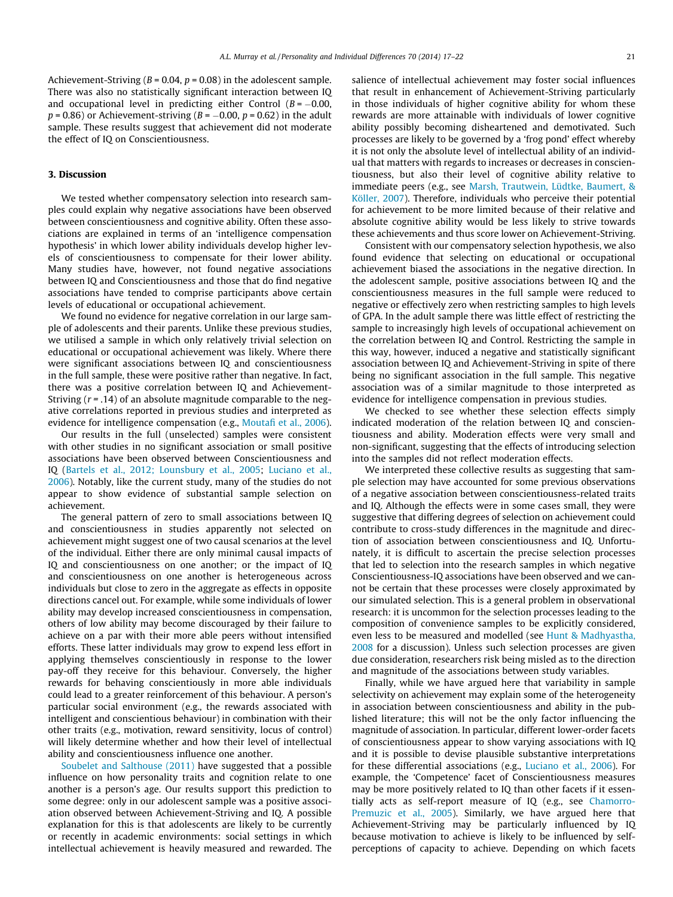Achievement-Striving ( $B = 0.04$ ,  $p = 0.08$ ) in the adolescent sample. There was also no statistically significant interaction between IQ and occupational level in predicting either Control ( $B = -0.00$ ,  $p$  = 0.86) or Achievement-striving (*B* =  $-$ 0.00, *p* = 0.62) in the adult sample. These results suggest that achievement did not moderate the effect of IQ on Conscientiousness.

### 3. Discussion

We tested whether compensatory selection into research samples could explain why negative associations have been observed between conscientiousness and cognitive ability. Often these associations are explained in terms of an 'intelligence compensation hypothesis' in which lower ability individuals develop higher levels of conscientiousness to compensate for their lower ability. Many studies have, however, not found negative associations between IQ and Conscientiousness and those that do find negative associations have tended to comprise participants above certain levels of educational or occupational achievement.

We found no evidence for negative correlation in our large sample of adolescents and their parents. Unlike these previous studies, we utilised a sample in which only relatively trivial selection on educational or occupational achievement was likely. Where there were significant associations between IQ and conscientiousness in the full sample, these were positive rather than negative. In fact, there was a positive correlation between IQ and Achievement-Striving  $(r = .14)$  of an absolute magnitude comparable to the negative correlations reported in previous studies and interpreted as evidence for intelligence compensation (e.g., [Moutafi et al., 2006\)](#page-5-0).

Our results in the full (unselected) samples were consistent with other studies in no significant association or small positive associations have been observed between Conscientiousness and IQ [\(Bartels et al., 2012; Lounsbury et al., 2005;](#page-5-0) [Luciano et al.,](#page-5-0) [2006](#page-5-0)). Notably, like the current study, many of the studies do not appear to show evidence of substantial sample selection on achievement.

The general pattern of zero to small associations between IQ and conscientiousness in studies apparently not selected on achievement might suggest one of two causal scenarios at the level of the individual. Either there are only minimal causal impacts of IQ and conscientiousness on one another; or the impact of IQ and conscientiousness on one another is heterogeneous across individuals but close to zero in the aggregate as effects in opposite directions cancel out. For example, while some individuals of lower ability may develop increased conscientiousness in compensation, others of low ability may become discouraged by their failure to achieve on a par with their more able peers without intensified efforts. These latter individuals may grow to expend less effort in applying themselves conscientiously in response to the lower pay-off they receive for this behaviour. Conversely, the higher rewards for behaving conscientiously in more able individuals could lead to a greater reinforcement of this behaviour. A person's particular social environment (e.g., the rewards associated with intelligent and conscientious behaviour) in combination with their other traits (e.g., motivation, reward sensitivity, locus of control) will likely determine whether and how their level of intellectual ability and conscientiousness influence one another.

[Soubelet and Salthouse \(2011\)](#page-5-0) have suggested that a possible influence on how personality traits and cognition relate to one another is a person's age. Our results support this prediction to some degree: only in our adolescent sample was a positive association observed between Achievement-Striving and IQ. A possible explanation for this is that adolescents are likely to be currently or recently in academic environments: social settings in which intellectual achievement is heavily measured and rewarded. The salience of intellectual achievement may foster social influences that result in enhancement of Achievement-Striving particularly in those individuals of higher cognitive ability for whom these rewards are more attainable with individuals of lower cognitive ability possibly becoming disheartened and demotivated. Such processes are likely to be governed by a 'frog pond' effect whereby it is not only the absolute level of intellectual ability of an individual that matters with regards to increases or decreases in conscientiousness, but also their level of cognitive ability relative to immediate peers (e.g., see [Marsh, Trautwein, Lüdtke, Baumert, &](#page-5-0) [Köller, 2007\)](#page-5-0). Therefore, individuals who perceive their potential for achievement to be more limited because of their relative and absolute cognitive ability would be less likely to strive towards these achievements and thus score lower on Achievement-Striving.

Consistent with our compensatory selection hypothesis, we also found evidence that selecting on educational or occupational achievement biased the associations in the negative direction. In the adolescent sample, positive associations between IQ and the conscientiousness measures in the full sample were reduced to negative or effectively zero when restricting samples to high levels of GPA. In the adult sample there was little effect of restricting the sample to increasingly high levels of occupational achievement on the correlation between IQ and Control. Restricting the sample in this way, however, induced a negative and statistically significant association between IQ and Achievement-Striving in spite of there being no significant association in the full sample. This negative association was of a similar magnitude to those interpreted as evidence for intelligence compensation in previous studies.

We checked to see whether these selection effects simply indicated moderation of the relation between IQ and conscientiousness and ability. Moderation effects were very small and non-significant, suggesting that the effects of introducing selection into the samples did not reflect moderation effects.

We interpreted these collective results as suggesting that sample selection may have accounted for some previous observations of a negative association between conscientiousness-related traits and IQ. Although the effects were in some cases small, they were suggestive that differing degrees of selection on achievement could contribute to cross-study differences in the magnitude and direction of association between conscientiousness and IQ. Unfortunately, it is difficult to ascertain the precise selection processes that led to selection into the research samples in which negative Conscientiousness-IQ associations have been observed and we cannot be certain that these processes were closely approximated by our simulated selection. This is a general problem in observational research: it is uncommon for the selection processes leading to the composition of convenience samples to be explicitly considered, even less to be measured and modelled (see [Hunt & Madhyastha,](#page-5-0) [2008](#page-5-0) for a discussion). Unless such selection processes are given due consideration, researchers risk being misled as to the direction and magnitude of the associations between study variables.

Finally, while we have argued here that variability in sample selectivity on achievement may explain some of the heterogeneity in association between conscientiousness and ability in the published literature; this will not be the only factor influencing the magnitude of association. In particular, different lower-order facets of conscientiousness appear to show varying associations with IQ and it is possible to devise plausible substantive interpretations for these differential associations (e.g., [Luciano et al., 2006\)](#page-5-0). For example, the 'Competence' facet of Conscientiousness measures may be more positively related to IQ than other facets if it essentially acts as self-report measure of IQ (e.g., see [Chamorro-](#page-5-0)[Premuzic et al., 2005\)](#page-5-0). Similarly, we have argued here that Achievement-Striving may be particularly influenced by IQ because motivation to achieve is likely to be influenced by selfperceptions of capacity to achieve. Depending on which facets